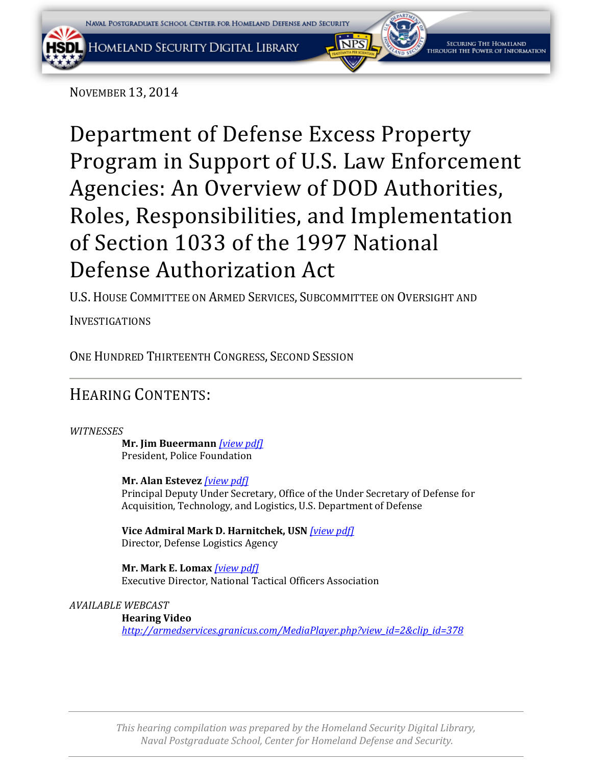

NOVEMBER 13, 2014

[Department of Defense Excess Property](http://armedservices.house.gov/index.cfm/hearings-display?ContentRecord_id=E248A7D4-556D-4B41-A794-B4DF23237150&ContentType_id=14F995B9-DFA5-407A-9D35-56CC7152A7ED&Group_id=41030bc2-0d05-4138-841f-90b0fbaa0f88&MonthDisplay=11&YearDisplay=2014)  [Program in Support of U.S. Law Enforcement](http://armedservices.house.gov/index.cfm/hearings-display?ContentRecord_id=E248A7D4-556D-4B41-A794-B4DF23237150&ContentType_id=14F995B9-DFA5-407A-9D35-56CC7152A7ED&Group_id=41030bc2-0d05-4138-841f-90b0fbaa0f88&MonthDisplay=11&YearDisplay=2014)  [Agencies: An Overview of DOD Authorities,](http://armedservices.house.gov/index.cfm/hearings-display?ContentRecord_id=E248A7D4-556D-4B41-A794-B4DF23237150&ContentType_id=14F995B9-DFA5-407A-9D35-56CC7152A7ED&Group_id=41030bc2-0d05-4138-841f-90b0fbaa0f88&MonthDisplay=11&YearDisplay=2014)  [Roles, Responsibilities, and Implementation](http://armedservices.house.gov/index.cfm/hearings-display?ContentRecord_id=E248A7D4-556D-4B41-A794-B4DF23237150&ContentType_id=14F995B9-DFA5-407A-9D35-56CC7152A7ED&Group_id=41030bc2-0d05-4138-841f-90b0fbaa0f88&MonthDisplay=11&YearDisplay=2014)  [of Section 1033 of the 1997 National](http://armedservices.house.gov/index.cfm/hearings-display?ContentRecord_id=E248A7D4-556D-4B41-A794-B4DF23237150&ContentType_id=14F995B9-DFA5-407A-9D35-56CC7152A7ED&Group_id=41030bc2-0d05-4138-841f-90b0fbaa0f88&MonthDisplay=11&YearDisplay=2014)  [Defense Authorization Act](http://armedservices.house.gov/index.cfm/hearings-display?ContentRecord_id=E248A7D4-556D-4B41-A794-B4DF23237150&ContentType_id=14F995B9-DFA5-407A-9D35-56CC7152A7ED&Group_id=41030bc2-0d05-4138-841f-90b0fbaa0f88&MonthDisplay=11&YearDisplay=2014)

U.S. HOUSE COMMITTEE ON ARMED SERVICES, SUBCOMMITTEE ON OVERSIGHT AND

INVESTIGATIONS

ONE HUNDRED THIRTEENTH CONGRESS, SECOND SESSION

# HEARING CONTENTS:

# *WITNESSES*

**Mr. Jim Bueermann** *[\[view pdf\]](#page-2-0)* President, Police Foundation

**Mr. Alan Estevez** *[\[view pdf\]](#page-8-0)* Principal Deputy Under Secretary, Office of the Under Secretary of Defense for Acquisition, Technology, and Logistics, U.S. Department of Defense

**Vice Admiral Mark D. Harnitchek, USN** *[\[view pdf\]](#page-8-0)* Director, Defense Logistics Agency

**Mr. Mark E. Lomax** *[\[view pdf\]](#page-14-0)* Executive Director, National Tactical Officers Association

## *AVAILABLE WEBCAST*

**Hearing Video** *[http://armedservices.granicus.com/MediaPlayer.php?view\\_id=2&clip\\_id=378](http://armedservices.granicus.com/MediaPlayer.php?view_id=2&clip_id=378)*

*This hearing compilation was prepared by the Homeland Security Digital Library, Naval Postgraduate School, Center for Homeland Defense and Security.*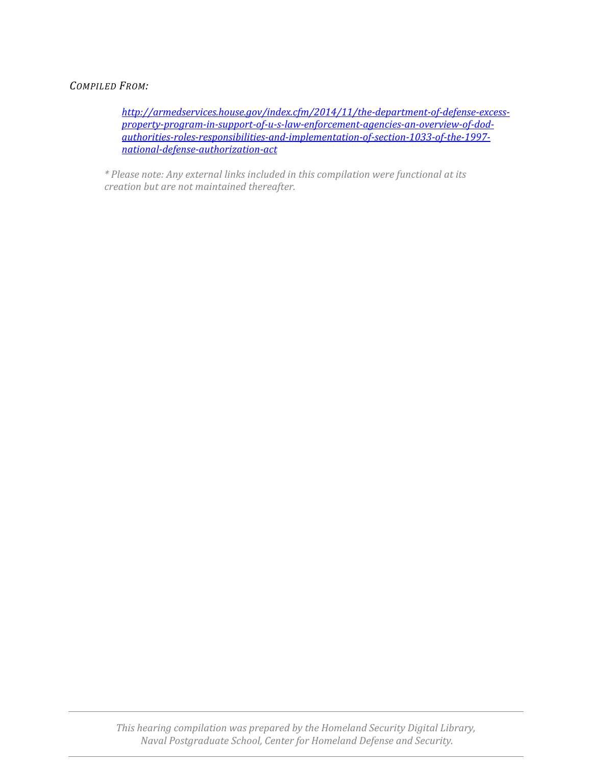## *COMPILED FROM:*

*[http://armedservices.house.gov/index.cfm/2014/11/the-department-of-defense-excess](http://armedservices.house.gov/index.cfm/2014/11/the-department-of-defense-excess-property-program-in-support-of-u-s-law-enforcement-agencies-an-overview-of-dod-authorities-roles-responsibilities-and-implementation-of-section-1033-of-the-1997-national-defense-authorization-act)[property-program-in-support-of-u-s-law-enforcement-agencies-an-overview-of-dod](http://armedservices.house.gov/index.cfm/2014/11/the-department-of-defense-excess-property-program-in-support-of-u-s-law-enforcement-agencies-an-overview-of-dod-authorities-roles-responsibilities-and-implementation-of-section-1033-of-the-1997-national-defense-authorization-act)[authorities-roles-responsibilities-and-implementation-of-section-1033-of-the-1997](http://armedservices.house.gov/index.cfm/2014/11/the-department-of-defense-excess-property-program-in-support-of-u-s-law-enforcement-agencies-an-overview-of-dod-authorities-roles-responsibilities-and-implementation-of-section-1033-of-the-1997-national-defense-authorization-act) [national-defense-authorization-act](http://armedservices.house.gov/index.cfm/2014/11/the-department-of-defense-excess-property-program-in-support-of-u-s-law-enforcement-agencies-an-overview-of-dod-authorities-roles-responsibilities-and-implementation-of-section-1033-of-the-1997-national-defense-authorization-act)*

*\* Please note: Any external links included in this compilation were functional at its creation but are not maintained thereafter.*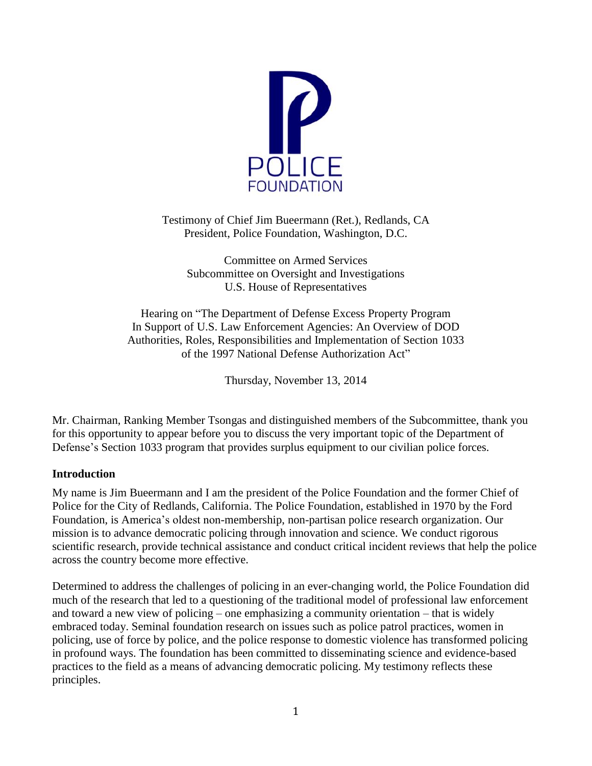<span id="page-2-0"></span>

Testimony of Chief Jim Bueermann (Ret.), Redlands, CA President, Police Foundation, Washington, D.C.

Committee on Armed Services Subcommittee on Oversight and Investigations U.S. House of Representatives

Hearing on "The Department of Defense Excess Property Program In Support of U.S. Law Enforcement Agencies: An Overview of DOD Authorities, Roles, Responsibilities and Implementation of Section 1033 of the 1997 National Defense Authorization Act"

Thursday, November 13, 2014

Mr. Chairman, Ranking Member Tsongas and distinguished members of the Subcommittee, thank you for this opportunity to appear before you to discuss the very important topic of the Department of Defense's Section 1033 program that provides surplus equipment to our civilian police forces.

## **Introduction**

My name is Jim Bueermann and I am the president of the Police Foundation and the former Chief of Police for the City of Redlands, California. The Police Foundation, established in 1970 by the Ford Foundation, is America's oldest non-membership, non-partisan police research organization. Our mission is to advance democratic policing through innovation and science. We conduct rigorous scientific research, provide technical assistance and conduct critical incident reviews that help the police across the country become more effective.

Determined to address the challenges of policing in an ever-changing world, the Police Foundation did much of the research that led to a questioning of the traditional model of professional law enforcement and toward a new view of policing – one emphasizing a community orientation – that is widely embraced today. Seminal foundation research on issues such as police patrol practices, women in policing, use of force by police, and the police response to domestic violence has transformed policing in profound ways. The foundation has been committed to disseminating science and evidence-based practices to the field as a means of advancing democratic policing. My testimony reflects these principles.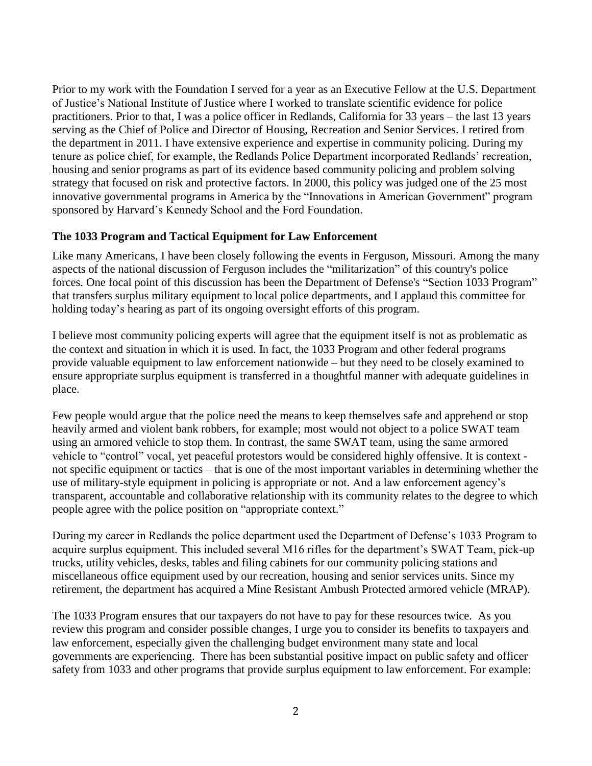Prior to my work with the Foundation I served for a year as an Executive Fellow at the U.S. Department of Justice's National Institute of Justice where I worked to translate scientific evidence for police practitioners. Prior to that, I was a police officer in Redlands, California for 33 years – the last 13 years serving as the Chief of Police and Director of Housing, Recreation and Senior Services. I retired from the department in 2011. I have extensive experience and expertise in community policing. During my tenure as police chief, for example, the Redlands Police Department incorporated Redlands' recreation, housing and senior programs as part of its evidence based community policing and problem solving strategy that focused on risk and protective factors. In 2000, this policy was judged one of the 25 most innovative governmental programs in America by the "Innovations in American Government" program sponsored by Harvard's Kennedy School and the Ford Foundation.

## **The 1033 Program and Tactical Equipment for Law Enforcement**

Like many Americans, I have been closely following the events in Ferguson, Missouri. Among the many aspects of the national discussion of Ferguson includes the "militarization" of this country's police forces. One focal point of this discussion has been the Department of Defense's "Section 1033 Program" that transfers surplus military equipment to local police departments, and I applaud this committee for holding today's hearing as part of its ongoing oversight efforts of this program.

I believe most community policing experts will agree that the equipment itself is not as problematic as the context and situation in which it is used. In fact, the 1033 Program and other federal programs provide valuable equipment to law enforcement nationwide – but they need to be closely examined to ensure appropriate surplus equipment is transferred in a thoughtful manner with adequate guidelines in place.

Few people would argue that the police need the means to keep themselves safe and apprehend or stop heavily armed and violent bank robbers, for example; most would not object to a police SWAT team using an armored vehicle to stop them. In contrast, the same SWAT team, using the same armored vehicle to "control" vocal, yet peaceful protestors would be considered highly offensive. It is context not specific equipment or tactics – that is one of the most important variables in determining whether the use of military-style equipment in policing is appropriate or not. And a law enforcement agency's transparent, accountable and collaborative relationship with its community relates to the degree to which people agree with the police position on "appropriate context."

During my career in Redlands the police department used the Department of Defense's 1033 Program to acquire surplus equipment. This included several M16 rifles for the department's SWAT Team, pick-up trucks, utility vehicles, desks, tables and filing cabinets for our community policing stations and miscellaneous office equipment used by our recreation, housing and senior services units. Since my retirement, the department has acquired a Mine Resistant Ambush Protected armored vehicle (MRAP).

The 1033 Program ensures that our taxpayers do not have to pay for these resources twice. As you review this program and consider possible changes, I urge you to consider its benefits to taxpayers and law enforcement, especially given the challenging budget environment many state and local governments are experiencing. There has been substantial positive impact on public safety and officer safety from 1033 and other programs that provide surplus equipment to law enforcement. For example: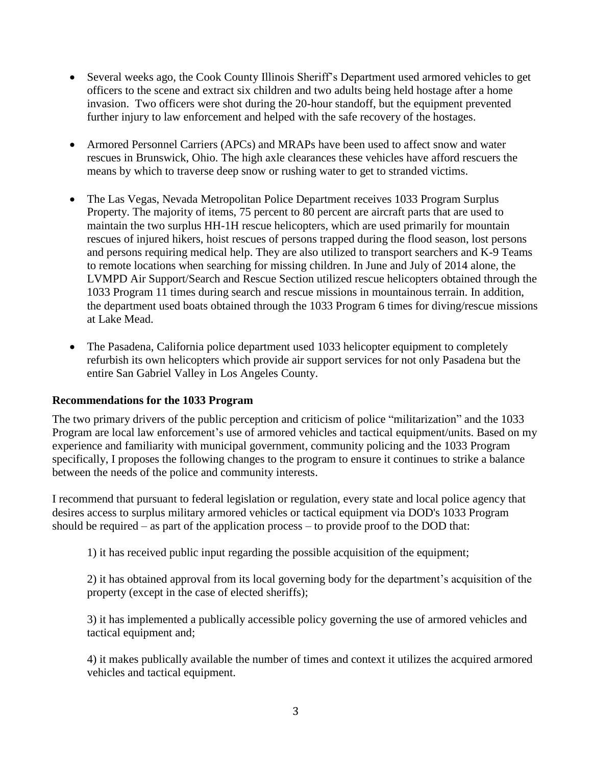- Several weeks ago, the Cook County Illinois Sheriff's Department used armored vehicles to get officers to the scene and extract six children and two adults being held hostage after a home invasion. Two officers were shot during the 20-hour standoff, but the equipment prevented further injury to law enforcement and helped with the safe recovery of the hostages.
- Armored Personnel Carriers (APCs) and MRAPs have been used to affect snow and water rescues in Brunswick, Ohio. The high axle clearances these vehicles have afford rescuers the means by which to traverse deep snow or rushing water to get to stranded victims.
- The Las Vegas, Nevada Metropolitan Police Department receives 1033 Program Surplus Property. The majority of items, 75 percent to 80 percent are aircraft parts that are used to maintain the two surplus HH-1H rescue helicopters, which are used primarily for mountain rescues of injured hikers, hoist rescues of persons trapped during the flood season, lost persons and persons requiring medical help. They are also utilized to transport searchers and K-9 Teams to remote locations when searching for missing children. In June and July of 2014 alone, the LVMPD Air Support/Search and Rescue Section utilized rescue helicopters obtained through the 1033 Program 11 times during search and rescue missions in mountainous terrain. In addition, the department used boats obtained through the 1033 Program 6 times for diving/rescue missions at Lake Mead.
- The Pasadena, California police department used 1033 helicopter equipment to completely refurbish its own helicopters which provide air support services for not only Pasadena but the entire San Gabriel Valley in Los Angeles County.

## **Recommendations for the 1033 Program**

The two primary drivers of the public perception and criticism of police "militarization" and the 1033 Program are local law enforcement's use of armored vehicles and tactical equipment/units. Based on my experience and familiarity with municipal government, community policing and the 1033 Program specifically, I proposes the following changes to the program to ensure it continues to strike a balance between the needs of the police and community interests.

I recommend that pursuant to federal legislation or regulation, every state and local police agency that desires access to surplus military armored vehicles or tactical equipment via DOD's 1033 Program should be required – as part of the application process – to provide proof to the DOD that:

1) it has received public input regarding the possible acquisition of the equipment;

2) it has obtained approval from its local governing body for the department's acquisition of the property (except in the case of elected sheriffs);

3) it has implemented a publically accessible policy governing the use of armored vehicles and tactical equipment and;

4) it makes publically available the number of times and context it utilizes the acquired armored vehicles and tactical equipment.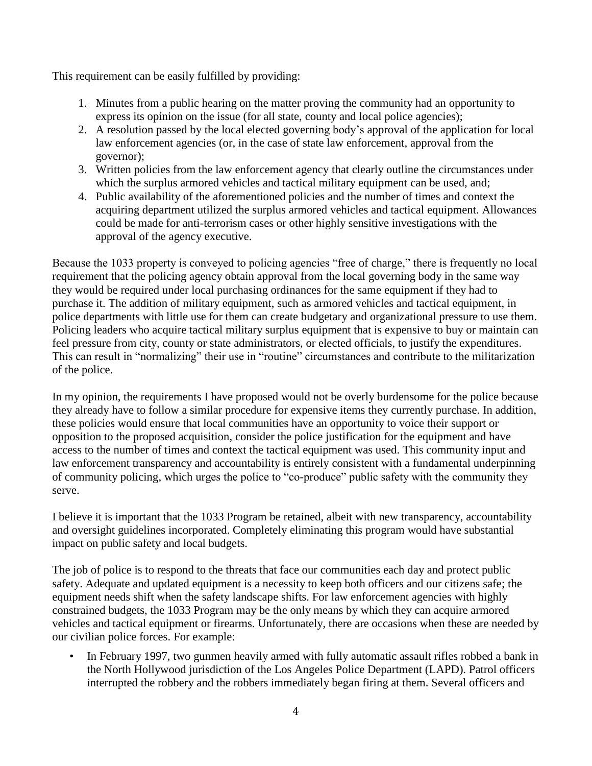This requirement can be easily fulfilled by providing:

- 1. Minutes from a public hearing on the matter proving the community had an opportunity to express its opinion on the issue (for all state, county and local police agencies);
- 2. A resolution passed by the local elected governing body's approval of the application for local law enforcement agencies (or, in the case of state law enforcement, approval from the governor);
- 3. Written policies from the law enforcement agency that clearly outline the circumstances under which the surplus armored vehicles and tactical military equipment can be used, and;
- 4. Public availability of the aforementioned policies and the number of times and context the acquiring department utilized the surplus armored vehicles and tactical equipment. Allowances could be made for anti-terrorism cases or other highly sensitive investigations with the approval of the agency executive.

Because the 1033 property is conveyed to policing agencies "free of charge," there is frequently no local requirement that the policing agency obtain approval from the local governing body in the same way they would be required under local purchasing ordinances for the same equipment if they had to purchase it. The addition of military equipment, such as armored vehicles and tactical equipment, in police departments with little use for them can create budgetary and organizational pressure to use them. Policing leaders who acquire tactical military surplus equipment that is expensive to buy or maintain can feel pressure from city, county or state administrators, or elected officials, to justify the expenditures. This can result in "normalizing" their use in "routine" circumstances and contribute to the militarization of the police.

In my opinion, the requirements I have proposed would not be overly burdensome for the police because they already have to follow a similar procedure for expensive items they currently purchase. In addition, these policies would ensure that local communities have an opportunity to voice their support or opposition to the proposed acquisition, consider the police justification for the equipment and have access to the number of times and context the tactical equipment was used. This community input and law enforcement transparency and accountability is entirely consistent with a fundamental underpinning of community policing, which urges the police to "co-produce" public safety with the community they serve.

I believe it is important that the 1033 Program be retained, albeit with new transparency, accountability and oversight guidelines incorporated. Completely eliminating this program would have substantial impact on public safety and local budgets.

The job of police is to respond to the threats that face our communities each day and protect public safety. Adequate and updated equipment is a necessity to keep both officers and our citizens safe; the equipment needs shift when the safety landscape shifts. For law enforcement agencies with highly constrained budgets, the 1033 Program may be the only means by which they can acquire armored vehicles and tactical equipment or firearms. Unfortunately, there are occasions when these are needed by our civilian police forces. For example:

• In February 1997, two gunmen heavily armed with fully automatic assault rifles robbed a bank in the North Hollywood jurisdiction of the Los Angeles Police Department (LAPD). Patrol officers interrupted the robbery and the robbers immediately began firing at them. Several officers and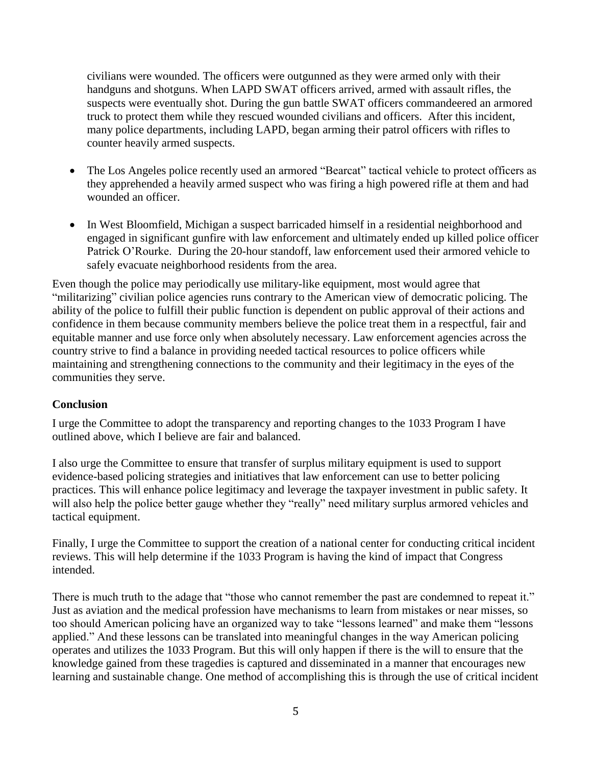civilians were wounded. The officers were outgunned as they were armed only with their handguns and shotguns. When LAPD SWAT officers arrived, armed with assault rifles, the suspects were eventually shot. During the gun battle SWAT officers commandeered an armored truck to protect them while they rescued wounded civilians and officers. After this incident, many police departments, including LAPD, began arming their patrol officers with rifles to counter heavily armed suspects.

- The Los Angeles police recently used an armored "Bearcat" tactical vehicle to protect officers as they apprehended a heavily armed suspect who was firing a high powered rifle at them and had wounded an officer.
- In West Bloomfield, Michigan a suspect barricaded himself in a residential neighborhood and engaged in significant gunfire with law enforcement and ultimately ended up killed police officer Patrick O'Rourke. During the 20-hour standoff, law enforcement used their armored vehicle to safely evacuate neighborhood residents from the area.

Even though the police may periodically use military-like equipment, most would agree that "militarizing" civilian police agencies runs contrary to the American view of democratic policing. The ability of the police to fulfill their public function is dependent on public approval of their actions and confidence in them because community members believe the police treat them in a respectful, fair and equitable manner and use force only when absolutely necessary. Law enforcement agencies across the country strive to find a balance in providing needed tactical resources to police officers while maintaining and strengthening connections to the community and their legitimacy in the eyes of the communities they serve.

## **Conclusion**

I urge the Committee to adopt the transparency and reporting changes to the 1033 Program I have outlined above, which I believe are fair and balanced.

I also urge the Committee to ensure that transfer of surplus military equipment is used to support evidence-based policing strategies and initiatives that law enforcement can use to better policing practices. This will enhance police legitimacy and leverage the taxpayer investment in public safety. It will also help the police better gauge whether they "really" need military surplus armored vehicles and tactical equipment.

Finally, I urge the Committee to support the creation of a national center for conducting critical incident reviews. This will help determine if the 1033 Program is having the kind of impact that Congress intended.

There is much truth to the adage that "those who cannot remember the past are condemned to repeat it." Just as aviation and the medical profession have mechanisms to learn from mistakes or near misses, so too should American policing have an organized way to take "lessons learned" and make them "lessons applied." And these lessons can be translated into meaningful changes in the way American policing operates and utilizes the 1033 Program. But this will only happen if there is the will to ensure that the knowledge gained from these tragedies is captured and disseminated in a manner that encourages new learning and sustainable change. One method of accomplishing this is through the use of critical incident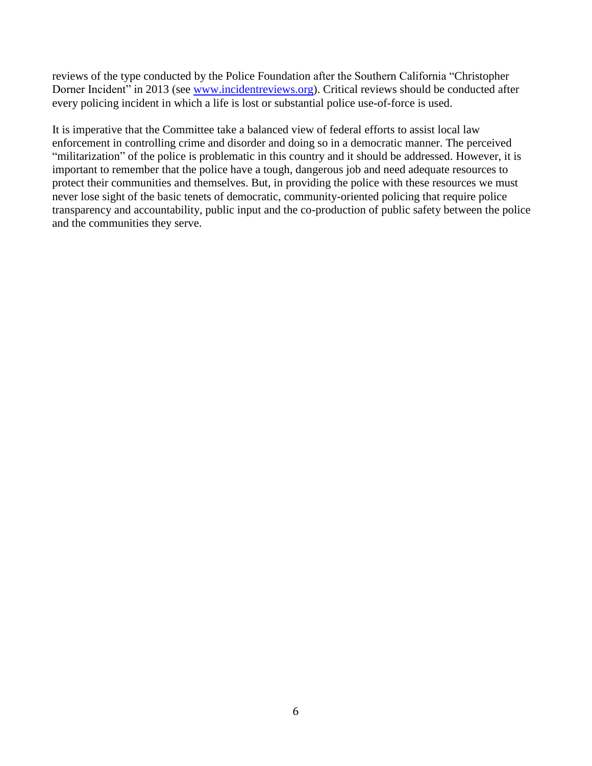reviews of the type conducted by the Police Foundation after the Southern California "Christopher Dorner Incident" in 2013 (see [www.incidentreviews.org\)](http://www.incidentreviews.org/). Critical reviews should be conducted after every policing incident in which a life is lost or substantial police use-of-force is used.

It is imperative that the Committee take a balanced view of federal efforts to assist local law enforcement in controlling crime and disorder and doing so in a democratic manner. The perceived "militarization" of the police is problematic in this country and it should be addressed. However, it is important to remember that the police have a tough, dangerous job and need adequate resources to protect their communities and themselves. But, in providing the police with these resources we must never lose sight of the basic tenets of democratic, community-oriented policing that require police transparency and accountability, public input and the co-production of public safety between the police and the communities they serve.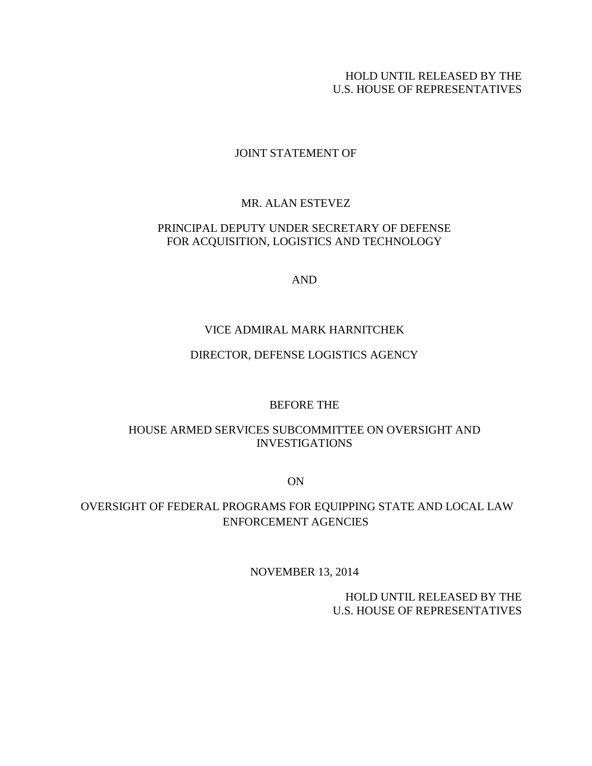## HOLD UNTIL RELEASED BY THE U.S. HOUSE OF REPRESENTATIVES

## JOINT STATEMENT OF

## MR. ALAN ESTEVEZ

## <span id="page-8-0"></span>PRINCIPAL DEPUTY UNDER SECRETARY OF DEFENSE FOR ACQUISITION, LOGISTICS AND TECHNOLOGY

AND

## VICE ADMIRAL MARK HARNITCHEK

## DIRECTOR, DEFENSE LOGISTICS AGENCY

### BEFORE THE

## HOUSE ARMED SERVICES SUBCOMMITTEE ON OVERSIGHT AND INVESTIGATIONS

ON

# OVERSIGHT OF FEDERAL PROGRAMS FOR EQUIPPING STATE AND LOCAL LAW ENFORCEMENT AGENCIES

## NOVEMBER 13, 2014

HOLD UNTIL RELEASED BY THE U.S. HOUSE OF REPRESENTATIVES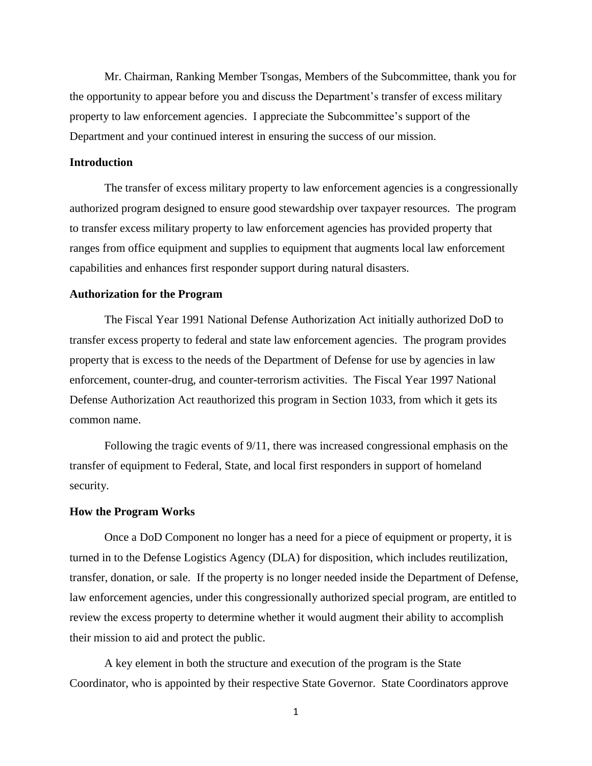Mr. Chairman, Ranking Member Tsongas, Members of the Subcommittee, thank you for the opportunity to appear before you and discuss the Department's transfer of excess military property to law enforcement agencies. I appreciate the Subcommittee's support of the Department and your continued interest in ensuring the success of our mission.

#### **Introduction**

The transfer of excess military property to law enforcement agencies is a congressionally authorized program designed to ensure good stewardship over taxpayer resources. The program to transfer excess military property to law enforcement agencies has provided property that ranges from office equipment and supplies to equipment that augments local law enforcement capabilities and enhances first responder support during natural disasters.

#### **Authorization for the Program**

The Fiscal Year 1991 National Defense Authorization Act initially authorized DoD to transfer excess property to federal and state law enforcement agencies. The program provides property that is excess to the needs of the Department of Defense for use by agencies in law enforcement, counter-drug, and counter-terrorism activities. The Fiscal Year 1997 National Defense Authorization Act reauthorized this program in Section 1033, from which it gets its common name.

Following the tragic events of 9/11, there was increased congressional emphasis on the transfer of equipment to Federal, State, and local first responders in support of homeland security.

#### **How the Program Works**

Once a DoD Component no longer has a need for a piece of equipment or property, it is turned in to the Defense Logistics Agency (DLA) for disposition, which includes reutilization, transfer, donation, or sale. If the property is no longer needed inside the Department of Defense, law enforcement agencies, under this congressionally authorized special program, are entitled to review the excess property to determine whether it would augment their ability to accomplish their mission to aid and protect the public.

A key element in both the structure and execution of the program is the State Coordinator, who is appointed by their respective State Governor. State Coordinators approve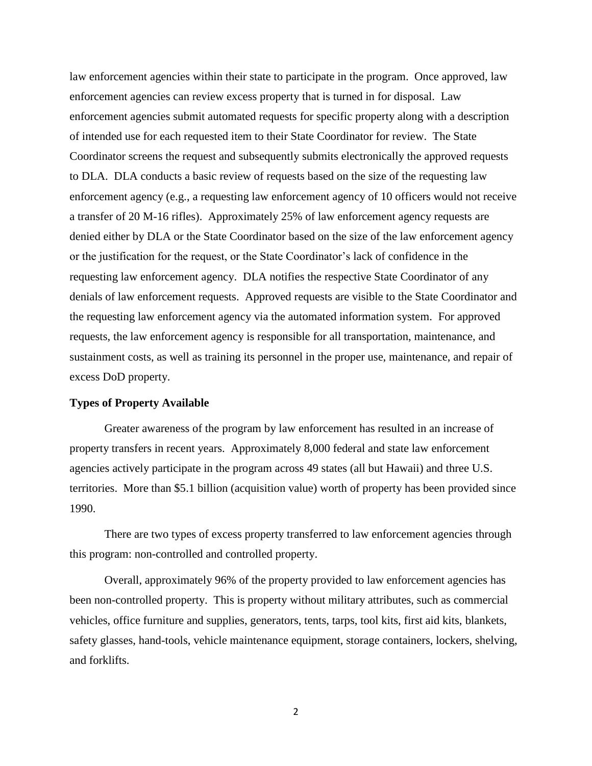law enforcement agencies within their state to participate in the program. Once approved, law enforcement agencies can review excess property that is turned in for disposal. Law enforcement agencies submit automated requests for specific property along with a description of intended use for each requested item to their State Coordinator for review. The State Coordinator screens the request and subsequently submits electronically the approved requests to DLA. DLA conducts a basic review of requests based on the size of the requesting law enforcement agency (e.g., a requesting law enforcement agency of 10 officers would not receive a transfer of 20 M-16 rifles). Approximately 25% of law enforcement agency requests are denied either by DLA or the State Coordinator based on the size of the law enforcement agency or the justification for the request, or the State Coordinator's lack of confidence in the requesting law enforcement agency. DLA notifies the respective State Coordinator of any denials of law enforcement requests. Approved requests are visible to the State Coordinator and the requesting law enforcement agency via the automated information system. For approved requests, the law enforcement agency is responsible for all transportation, maintenance, and sustainment costs, as well as training its personnel in the proper use, maintenance, and repair of excess DoD property.

#### **Types of Property Available**

Greater awareness of the program by law enforcement has resulted in an increase of property transfers in recent years. Approximately 8,000 federal and state law enforcement agencies actively participate in the program across 49 states (all but Hawaii) and three U.S. territories. More than \$5.1 billion (acquisition value) worth of property has been provided since 1990.

There are two types of excess property transferred to law enforcement agencies through this program: non-controlled and controlled property.

Overall, approximately 96% of the property provided to law enforcement agencies has been non-controlled property. This is property without military attributes, such as commercial vehicles, office furniture and supplies, generators, tents, tarps, tool kits, first aid kits, blankets, safety glasses, hand-tools, vehicle maintenance equipment, storage containers, lockers, shelving, and forklifts.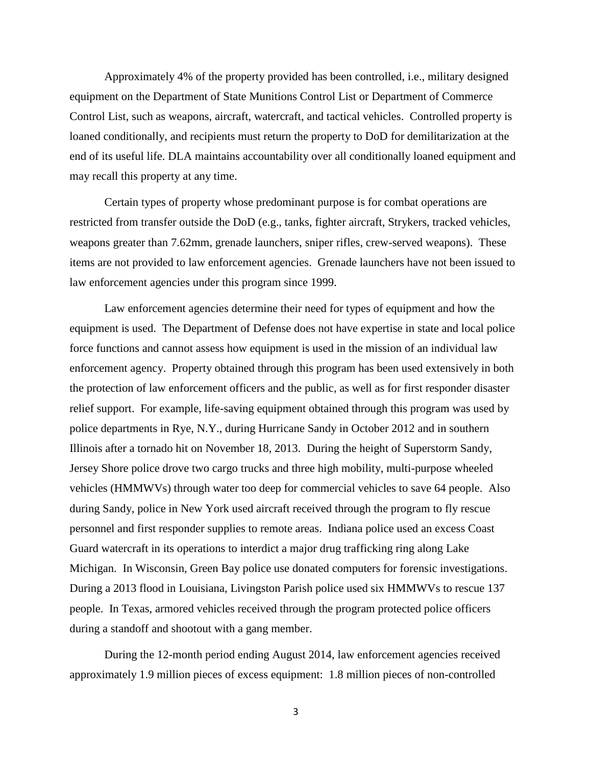Approximately 4% of the property provided has been controlled, i.e., military designed equipment on the Department of State Munitions Control List or Department of Commerce Control List, such as weapons, aircraft, watercraft, and tactical vehicles. Controlled property is loaned conditionally, and recipients must return the property to DoD for demilitarization at the end of its useful life. DLA maintains accountability over all conditionally loaned equipment and may recall this property at any time.

Certain types of property whose predominant purpose is for combat operations are restricted from transfer outside the DoD (e.g., tanks, fighter aircraft, Strykers, tracked vehicles, weapons greater than 7.62mm, grenade launchers, sniper rifles, crew-served weapons). These items are not provided to law enforcement agencies. Grenade launchers have not been issued to law enforcement agencies under this program since 1999.

Law enforcement agencies determine their need for types of equipment and how the equipment is used. The Department of Defense does not have expertise in state and local police force functions and cannot assess how equipment is used in the mission of an individual law enforcement agency. Property obtained through this program has been used extensively in both the protection of law enforcement officers and the public, as well as for first responder disaster relief support. For example, life-saving equipment obtained through this program was used by police departments in Rye, N.Y., during Hurricane Sandy in October 2012 and in southern Illinois after a tornado hit on November 18, 2013. During the height of Superstorm Sandy, Jersey Shore police drove two cargo trucks and three high mobility, multi-purpose wheeled vehicles (HMMWVs) through water too deep for commercial vehicles to save 64 people. Also during Sandy, police in New York used aircraft received through the program to fly rescue personnel and first responder supplies to remote areas. Indiana police used an excess Coast Guard watercraft in its operations to interdict a major drug trafficking ring along Lake Michigan. In Wisconsin, Green Bay police use donated computers for forensic investigations. During a 2013 flood in Louisiana, Livingston Parish police used six HMMWVs to rescue 137 people. In Texas, armored vehicles received through the program protected police officers during a standoff and shootout with a gang member.

During the 12-month period ending August 2014, law enforcement agencies received approximately 1.9 million pieces of excess equipment: 1.8 million pieces of non-controlled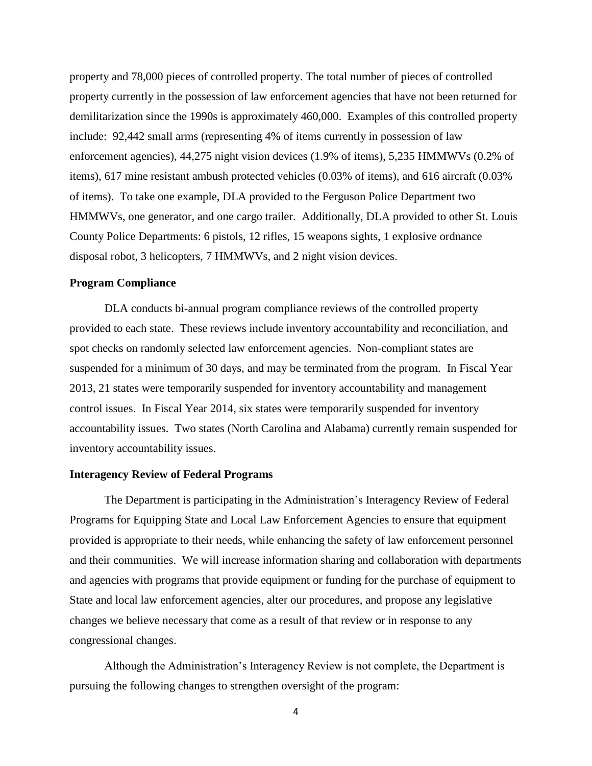property and 78,000 pieces of controlled property. The total number of pieces of controlled property currently in the possession of law enforcement agencies that have not been returned for demilitarization since the 1990s is approximately 460,000. Examples of this controlled property include: 92,442 small arms (representing 4% of items currently in possession of law enforcement agencies), 44,275 night vision devices (1.9% of items), 5,235 HMMWVs (0.2% of items), 617 mine resistant ambush protected vehicles (0.03% of items), and 616 aircraft (0.03% of items). To take one example, DLA provided to the Ferguson Police Department two HMMWVs, one generator, and one cargo trailer. Additionally, DLA provided to other St. Louis County Police Departments: 6 pistols, 12 rifles, 15 weapons sights, 1 explosive ordnance disposal robot, 3 helicopters, 7 HMMWVs, and 2 night vision devices.

#### **Program Compliance**

DLA conducts bi-annual program compliance reviews of the controlled property provided to each state. These reviews include inventory accountability and reconciliation, and spot checks on randomly selected law enforcement agencies. Non-compliant states are suspended for a minimum of 30 days, and may be terminated from the program. In Fiscal Year 2013, 21 states were temporarily suspended for inventory accountability and management control issues. In Fiscal Year 2014, six states were temporarily suspended for inventory accountability issues. Two states (North Carolina and Alabama) currently remain suspended for inventory accountability issues.

#### **Interagency Review of Federal Programs**

The Department is participating in the Administration's Interagency Review of Federal Programs for Equipping State and Local Law Enforcement Agencies to ensure that equipment provided is appropriate to their needs, while enhancing the safety of law enforcement personnel and their communities. We will increase information sharing and collaboration with departments and agencies with programs that provide equipment or funding for the purchase of equipment to State and local law enforcement agencies, alter our procedures, and propose any legislative changes we believe necessary that come as a result of that review or in response to any congressional changes.

Although the Administration's Interagency Review is not complete, the Department is pursuing the following changes to strengthen oversight of the program: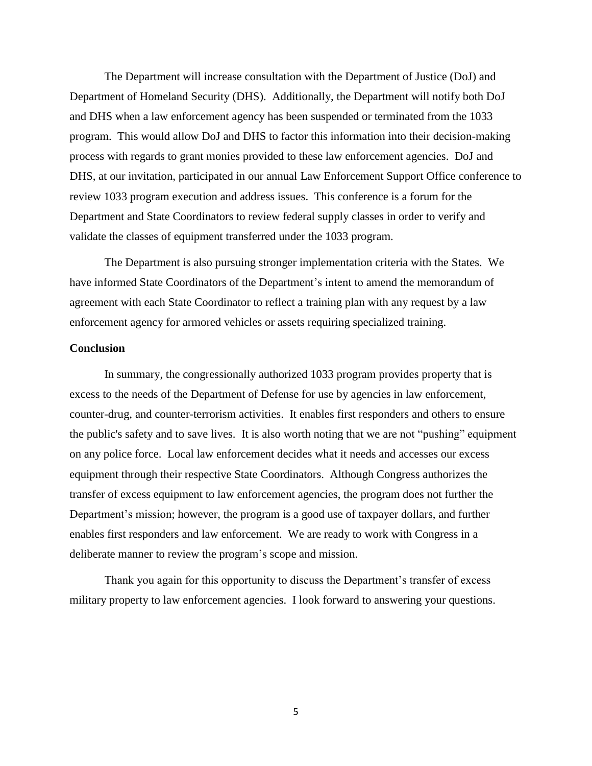The Department will increase consultation with the Department of Justice (DoJ) and Department of Homeland Security (DHS). Additionally, the Department will notify both DoJ and DHS when a law enforcement agency has been suspended or terminated from the 1033 program. This would allow DoJ and DHS to factor this information into their decision-making process with regards to grant monies provided to these law enforcement agencies. DoJ and DHS, at our invitation, participated in our annual Law Enforcement Support Office conference to review 1033 program execution and address issues. This conference is a forum for the Department and State Coordinators to review federal supply classes in order to verify and validate the classes of equipment transferred under the 1033 program.

The Department is also pursuing stronger implementation criteria with the States. We have informed State Coordinators of the Department's intent to amend the memorandum of agreement with each State Coordinator to reflect a training plan with any request by a law enforcement agency for armored vehicles or assets requiring specialized training.

#### **Conclusion**

In summary, the congressionally authorized 1033 program provides property that is excess to the needs of the Department of Defense for use by agencies in law enforcement, counter-drug, and counter-terrorism activities. It enables first responders and others to ensure the public's safety and to save lives. It is also worth noting that we are not "pushing" equipment on any police force. Local law enforcement decides what it needs and accesses our excess equipment through their respective State Coordinators. Although Congress authorizes the transfer of excess equipment to law enforcement agencies, the program does not further the Department's mission; however, the program is a good use of taxpayer dollars, and further enables first responders and law enforcement. We are ready to work with Congress in a deliberate manner to review the program's scope and mission.

Thank you again for this opportunity to discuss the Department's transfer of excess military property to law enforcement agencies. I look forward to answering your questions.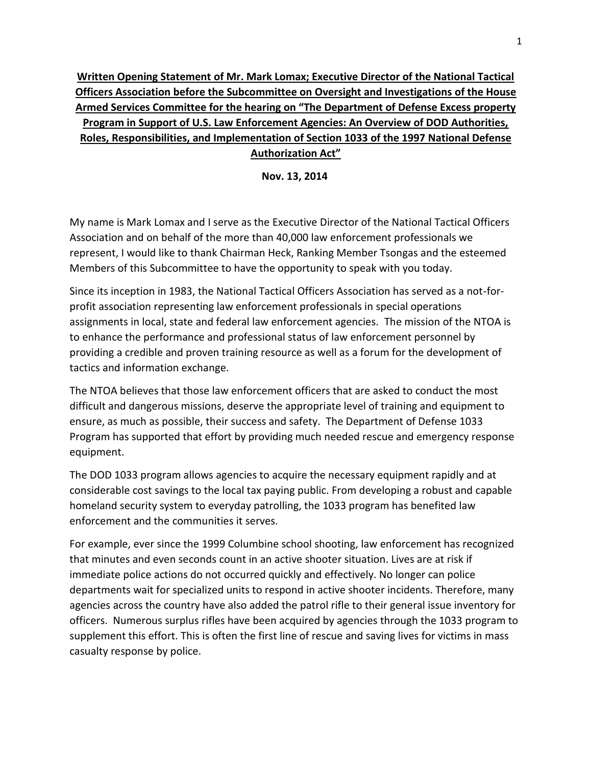# <span id="page-14-0"></span>**Written Opening Statement of Mr. Mark Lomax; Executive Director of the National Tactical Officers Association before the Subcommittee on Oversight and Investigations of the House Armed Services Committee for the hearing on "The Department of Defense Excess property Program in Support of U.S. Law Enforcement Agencies: An Overview of DOD Authorities, Roles, Responsibilities, and Implementation of Section 1033 of the 1997 National Defense Authorization Act"**

**Nov. 13, 2014** 

My name is Mark Lomax and I serve as the Executive Director of the National Tactical Officers Association and on behalf of the more than 40,000 law enforcement professionals we represent, I would like to thank Chairman Heck, Ranking Member Tsongas and the esteemed Members of this Subcommittee to have the opportunity to speak with you today.

Since its inception in 1983, the National Tactical Officers Association has served as a not-forprofit association representing law enforcement professionals in special operations assignments in local, state and federal law enforcement agencies. The mission of the NTOA is to enhance the performance and professional status of law enforcement personnel by providing a credible and proven training resource as well as a forum for the development of tactics and information exchange.

The NTOA believes that those law enforcement officers that are asked to conduct the most difficult and dangerous missions, deserve the appropriate level of training and equipment to ensure, as much as possible, their success and safety. The Department of Defense 1033 Program has supported that effort by providing much needed rescue and emergency response equipment.

The DOD 1033 program allows agencies to acquire the necessary equipment rapidly and at considerable cost savings to the local tax paying public. From developing a robust and capable homeland security system to everyday patrolling, the 1033 program has benefited law enforcement and the communities it serves.

For example, ever since the 1999 Columbine school shooting, law enforcement has recognized that minutes and even seconds count in an active shooter situation. Lives are at risk if immediate police actions do not occurred quickly and effectively. No longer can police departments wait for specialized units to respond in active shooter incidents. Therefore, many agencies across the country have also added the patrol rifle to their general issue inventory for officers. Numerous surplus rifles have been acquired by agencies through the 1033 program to supplement this effort. This is often the first line of rescue and saving lives for victims in mass casualty response by police.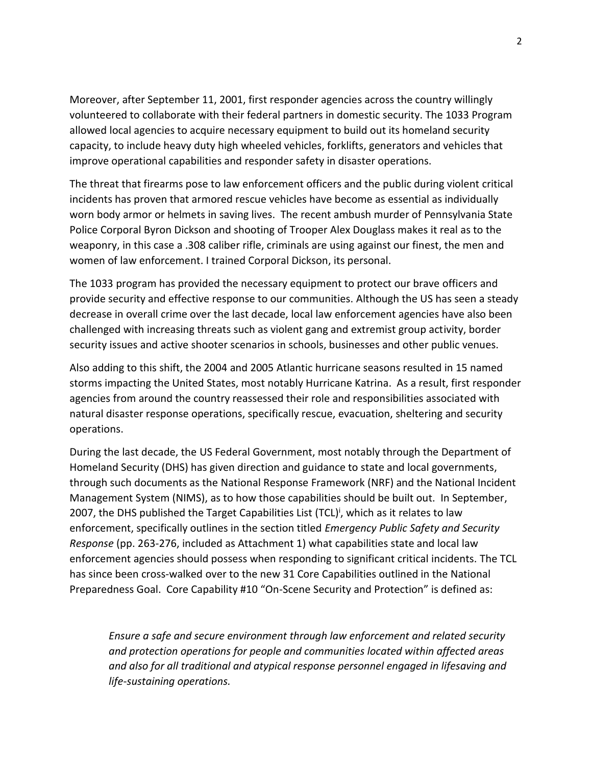Moreover, after September 11, 2001, first responder agencies across the country willingly volunteered to collaborate with their federal partners in domestic security. The 1033 Program allowed local agencies to acquire necessary equipment to build out its homeland security capacity, to include heavy duty high wheeled vehicles, forklifts, generators and vehicles that improve operational capabilities and responder safety in disaster operations.

The threat that firearms pose to law enforcement officers and the public during violent critical incidents has proven that armored rescue vehicles have become as essential as individually worn body armor or helmets in saving lives. The recent ambush murder of Pennsylvania State Police Corporal Byron Dickson and shooting of Trooper Alex Douglass makes it real as to the weaponry, in this case a .308 caliber rifle, criminals are using against our finest, the men and women of law enforcement. I trained Corporal Dickson, its personal.

The 1033 program has provided the necessary equipment to protect our brave officers and provide security and effective response to our communities. Although the US has seen a steady decrease in overall crime over the last decade, local law enforcement agencies have also been challenged with increasing threats such as violent gang and extremist group activity, border security issues and active shooter scenarios in schools, businesses and other public venues.

Also adding to this shift, the 2004 and 2005 Atlantic hurricane seasons resulted in 15 named storms impacting the United States, most notably Hurricane Katrina. As a result, first responder agencies from around the country reassessed their role and responsibilities associated with natural disaster response operations, specifically rescue, evacuation, sheltering and security operations.

During the last decade, the US Federal Government, most notably through the Department of Homeland Security (DHS) has given direction and guidance to state and local governments, through such documents as the National Response Framework (NRF) and the National Incident Management System (NIMS), as to how those capabilities should be built out. In September, 2007, the DHS published the Target Capabilities List (TCL)<sup>i</sup>, which as it relates to law enforcement, specifically outlines in the section titled *Emergency Public Safety and Security Response* (pp. 263-276, included as Attachment 1) what capabilities state and local law enforcement agencies should possess when responding to significant critical incidents. The TCL has since been cross-walked over to the new 31 Core Capabilities outlined in the National Preparedness Goal. Core Capability #10 "On-Scene Security and Protection" is defined as:

*Ensure a safe and secure environment through law enforcement and related security and protection operations for people and communities located within affected areas and also for all traditional and atypical response personnel engaged in lifesaving and life-sustaining operations.*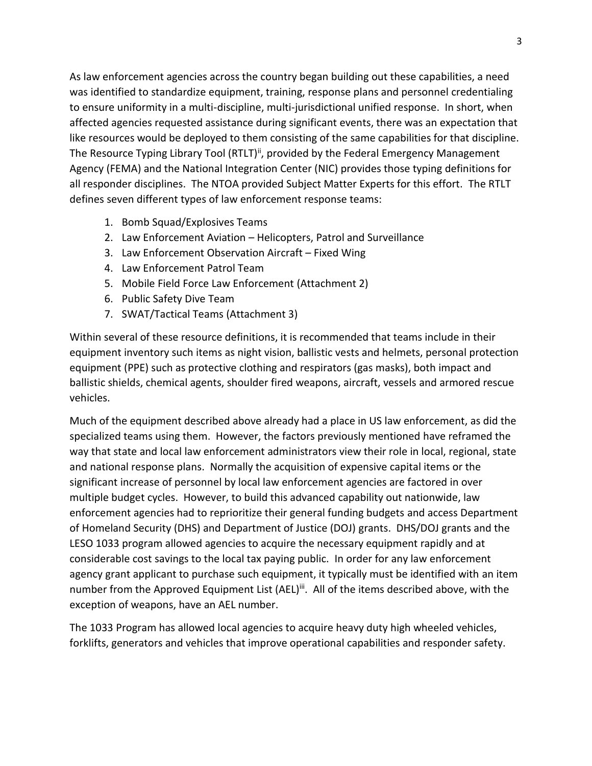As law enforcement agencies across the country began building out these capabilities, a need was identified to standardize equipment, training, response plans and personnel credentialing to ensure uniformity in a multi-discipline, multi-jurisdictional unified response. In short, when affected agencies requested assistance during significant events, there was an expectation that like resources would be deployed to them consisting of the same capabilities for that discipline. The Resource Typing Library Tool (RTLT)<sup>ii</sup>, provided by the Federal Emergency Management Agency (FEMA) and the National Integration Center (NIC) provides those typing definitions for all responder disciplines. The NTOA provided Subject Matter Experts for this effort. The RTLT defines seven different types of law enforcement response teams:

- 1. Bomb Squad/Explosives Teams
- 2. Law Enforcement Aviation Helicopters, Patrol and Surveillance
- 3. Law Enforcement Observation Aircraft Fixed Wing
- 4. Law Enforcement Patrol Team
- 5. Mobile Field Force Law Enforcement (Attachment 2)
- 6. Public Safety Dive Team
- 7. SWAT/Tactical Teams (Attachment 3)

Within several of these resource definitions, it is recommended that teams include in their equipment inventory such items as night vision, ballistic vests and helmets, personal protection equipment (PPE) such as protective clothing and respirators (gas masks), both impact and ballistic shields, chemical agents, shoulder fired weapons, aircraft, vessels and armored rescue vehicles.

Much of the equipment described above already had a place in US law enforcement, as did the specialized teams using them. However, the factors previously mentioned have reframed the way that state and local law enforcement administrators view their role in local, regional, state and national response plans. Normally the acquisition of expensive capital items or the significant increase of personnel by local law enforcement agencies are factored in over multiple budget cycles. However, to build this advanced capability out nationwide, law enforcement agencies had to reprioritize their general funding budgets and access Department of Homeland Security (DHS) and Department of Justice (DOJ) grants. DHS/DOJ grants and the LESO 1033 program allowed agencies to acquire the necessary equipment rapidly and at considerable cost savings to the local tax paying public. In order for any law enforcement agency grant applicant to purchase such equipment, it typically must be identified with an item number from the Approved Equipment List (AEL)<sup>iii</sup>. All of the items described above, with the exception of weapons, have an AEL number.

The 1033 Program has allowed local agencies to acquire heavy duty high wheeled vehicles, forklifts, generators and vehicles that improve operational capabilities and responder safety.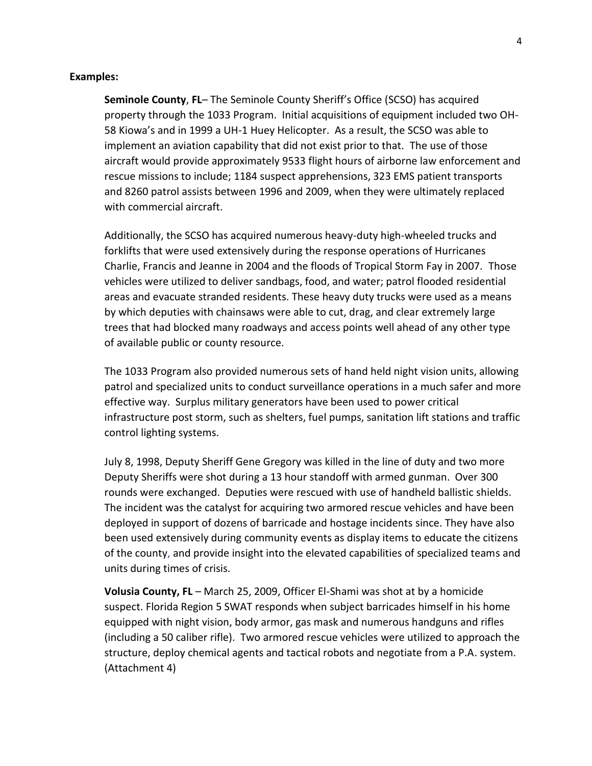#### **Examples:**

**Seminole County**, **FL**– The Seminole County Sheriff's Office (SCSO) has acquired property through the 1033 Program. Initial acquisitions of equipment included two OH-58 Kiowa's and in 1999 a UH-1 Huey Helicopter. As a result, the SCSO was able to implement an aviation capability that did not exist prior to that. The use of those aircraft would provide approximately 9533 flight hours of airborne law enforcement and rescue missions to include; 1184 suspect apprehensions, 323 EMS patient transports and 8260 patrol assists between 1996 and 2009, when they were ultimately replaced with commercial aircraft.

Additionally, the SCSO has acquired numerous heavy-duty high-wheeled trucks and forklifts that were used extensively during the response operations of Hurricanes Charlie, Francis and Jeanne in 2004 and the floods of Tropical Storm Fay in 2007. Those vehicles were utilized to deliver sandbags, food, and water; patrol flooded residential areas and evacuate stranded residents. These heavy duty trucks were used as a means by which deputies with chainsaws were able to cut, drag, and clear extremely large trees that had blocked many roadways and access points well ahead of any other type of available public or county resource.

The 1033 Program also provided numerous sets of hand held night vision units, allowing patrol and specialized units to conduct surveillance operations in a much safer and more effective way. Surplus military generators have been used to power critical infrastructure post storm, such as shelters, fuel pumps, sanitation lift stations and traffic control lighting systems.

July 8, 1998, Deputy Sheriff Gene Gregory was killed in the line of duty and two more Deputy Sheriffs were shot during a 13 hour standoff with armed gunman. Over 300 rounds were exchanged. Deputies were rescued with use of handheld ballistic shields. The incident was the catalyst for acquiring two armored rescue vehicles and have been deployed in support of dozens of barricade and hostage incidents since. They have also been used extensively during community events as display items to educate the citizens of the county, and provide insight into the elevated capabilities of specialized teams and units during times of crisis.

**Volusia County, FL** – March 25, 2009, Officer El-Shami was shot at by a homicide suspect. Florida Region 5 SWAT responds when subject barricades himself in his home equipped with night vision, body armor, gas mask and numerous handguns and rifles (including a 50 caliber rifle). Two armored rescue vehicles were utilized to approach the structure, deploy chemical agents and tactical robots and negotiate from a P.A. system. (Attachment 4)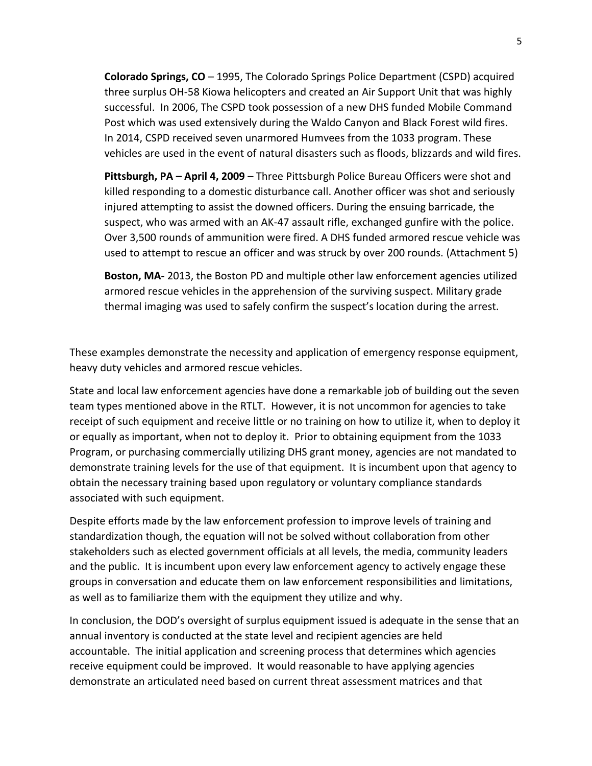**Colorado Springs, CO** – 1995, The Colorado Springs Police Department (CSPD) acquired three surplus OH-58 Kiowa helicopters and created an Air Support Unit that was highly successful. In 2006, The CSPD took possession of a new DHS funded Mobile Command Post which was used extensively during the Waldo Canyon and Black Forest wild fires. In 2014, CSPD received seven unarmored Humvees from the 1033 program. These vehicles are used in the event of natural disasters such as floods, blizzards and wild fires.

**Pittsburgh, PA – April 4, 2009** – Three Pittsburgh Police Bureau Officers were shot and killed responding to a domestic disturbance call. Another officer was shot and seriously injured attempting to assist the downed officers. During the ensuing barricade, the suspect, who was armed with an AK-47 assault rifle, exchanged gunfire with the police. Over 3,500 rounds of ammunition were fired. A DHS funded armored rescue vehicle was used to attempt to rescue an officer and was struck by over 200 rounds. (Attachment 5)

 **Boston, MA-** 2013, the Boston PD and multiple other law enforcement agencies utilized armored rescue vehicles in the apprehension of the surviving suspect. Military grade thermal imaging was used to safely confirm the suspect's location during the arrest.

These examples demonstrate the necessity and application of emergency response equipment, heavy duty vehicles and armored rescue vehicles.

State and local law enforcement agencies have done a remarkable job of building out the seven team types mentioned above in the RTLT. However, it is not uncommon for agencies to take receipt of such equipment and receive little or no training on how to utilize it, when to deploy it or equally as important, when not to deploy it. Prior to obtaining equipment from the 1033 Program, or purchasing commercially utilizing DHS grant money, agencies are not mandated to demonstrate training levels for the use of that equipment. It is incumbent upon that agency to obtain the necessary training based upon regulatory or voluntary compliance standards associated with such equipment.

Despite efforts made by the law enforcement profession to improve levels of training and standardization though, the equation will not be solved without collaboration from other stakeholders such as elected government officials at all levels, the media, community leaders and the public. It is incumbent upon every law enforcement agency to actively engage these groups in conversation and educate them on law enforcement responsibilities and limitations, as well as to familiarize them with the equipment they utilize and why.

In conclusion, the DOD's oversight of surplus equipment issued is adequate in the sense that an annual inventory is conducted at the state level and recipient agencies are held accountable. The initial application and screening process that determines which agencies receive equipment could be improved. It would reasonable to have applying agencies demonstrate an articulated need based on current threat assessment matrices and that